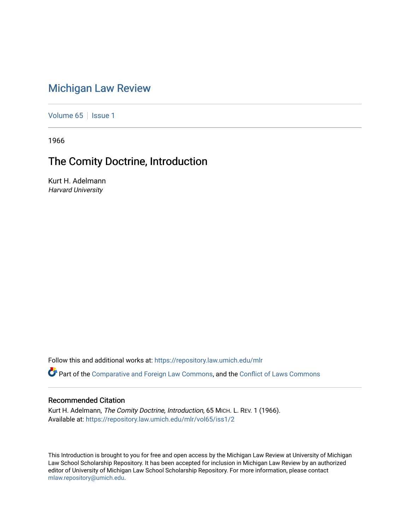# [Michigan Law Review](https://repository.law.umich.edu/mlr)

[Volume 65](https://repository.law.umich.edu/mlr/vol65) | [Issue 1](https://repository.law.umich.edu/mlr/vol65/iss1)

1966

# The Comity Doctrine, Introduction

Kurt H. Adelmann Harvard University

Follow this and additional works at: [https://repository.law.umich.edu/mlr](https://repository.law.umich.edu/mlr?utm_source=repository.law.umich.edu%2Fmlr%2Fvol65%2Fiss1%2F2&utm_medium=PDF&utm_campaign=PDFCoverPages) 

**Part of the [Comparative and Foreign Law Commons,](http://network.bepress.com/hgg/discipline/836?utm_source=repository.law.umich.edu%2Fmlr%2Fvol65%2Fiss1%2F2&utm_medium=PDF&utm_campaign=PDFCoverPages) and the [Conflict of Laws Commons](http://network.bepress.com/hgg/discipline/588?utm_source=repository.law.umich.edu%2Fmlr%2Fvol65%2Fiss1%2F2&utm_medium=PDF&utm_campaign=PDFCoverPages)** 

## Recommended Citation

Kurt H. Adelmann, The Comity Doctrine, Introduction, 65 MICH. L. REV. 1 (1966). Available at: [https://repository.law.umich.edu/mlr/vol65/iss1/2](https://repository.law.umich.edu/mlr/vol65/iss1/2?utm_source=repository.law.umich.edu%2Fmlr%2Fvol65%2Fiss1%2F2&utm_medium=PDF&utm_campaign=PDFCoverPages)

This Introduction is brought to you for free and open access by the Michigan Law Review at University of Michigan Law School Scholarship Repository. It has been accepted for inclusion in Michigan Law Review by an authorized editor of University of Michigan Law School Scholarship Repository. For more information, please contact [mlaw.repository@umich.edu.](mailto:mlaw.repository@umich.edu)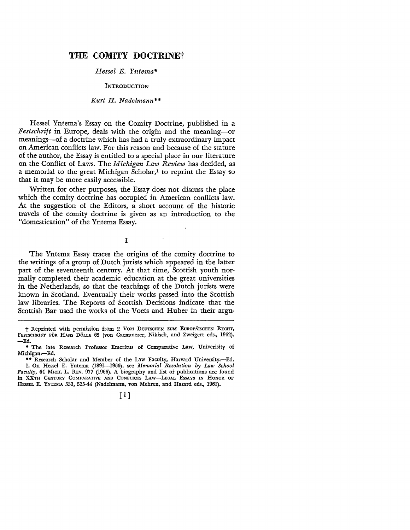## THE COMITY DOCTRINE<sup>†</sup>

### *Hessel E. Yntema\**

**INTRODUCTION** 

#### *Kurt H. Nadelmann\*\**

Hessel Yntema's Essay on the Comity Doctrine, published in a *Festschrift* in Europe, deals with the origin and the meaning-or meanings-of a doctrine which has had a truly extraordinary impact on American conflicts law. For this reason and because of the stature of the author, the Essay is entitled to a special place in our literature on the Conflict of Laws. The *Michigan Law Review* has decided, as a memorial to the great Michigan Scholar,<sup>1</sup> to reprint the Essay so that it may be more easily accessible.

Written for other purposes, the Essay does not discuss the place which the comity doctrine has occupied in American conflicts law. At the suggestion of the Editors, a short account of the historic travels of the comity doctrine is given as an introduction to the "domestication" of the Yntema Essay.

I

 $\mathbf{r}$ 

The Yntema Essay traces the origins of the comity doctrine to the writings of a group of Dutch jurists which appeared in the latter part of the seventeenth century. At that time, Scottish youth normally completed their academic education at the great universities in the Netherlands, so that the teachings of the Dutch jurists were known in Scotland. Eventually their works passed into the Scottish law libraries. The Reports of Scottish Decisions indicate that the Scottish Bar used the works of the Voets and Huber in their argu-

[I]

t Reprinted with permission from 2 VoM DEUTSCHEN ZUM EUROPAISCHEN RECHT, FESTSCHRIFT FÜR HANS DÖLLE 65 (von Caemmerer, Nikisch, and Zweigert eds., 1962). -Ed.

<sup>•</sup> The late Research Professor Emeritus of Comparative Law, Univerisity of Michigan.-Ed.

<sup>••</sup> Research Scholar and Member of the Law Faculty, Harvard University.-Ed. 1. On Hessel E. Yntema (1891-1966), see *Memorial Resolution by* Law *School Faculty,* 64 MICH. L. REv. 977 (1966). A biography and list of publications are found in XX.TH CENTURY COMPARATIVE AND CONFLICTS LAW-LEGAL ESSAYS IN HONOR OF HESSEL E. YNTEMA 533, 535-44 (Nadelmann, von Mehren, and Hazard eds., 1961).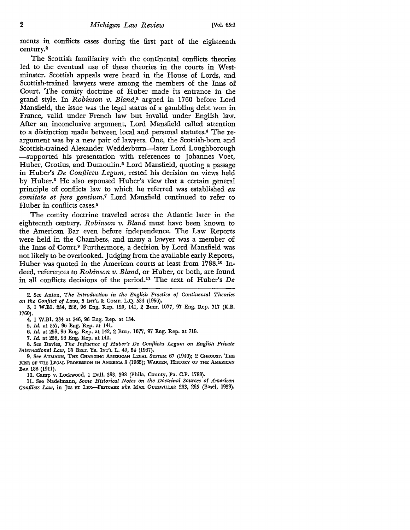ments in conflicts cases during the first part of the eighteenth century.<sup>2</sup>

The Scottish familiarity with the continental conflicts theories led to the eventual use of these theories in the courts in Westminster. Scottish appeals were heard in the House of Lords, and Scottish-trained lawyers were among the members of the Inns of Court. The comity doctrine of Huber made its entrance in the grand style. In *Robinson v. Bland,*3 argued in 1760 before Lord Mansfield, the issue was the legal status of a gambling debt won in France, valid under French law but invalid under English law. After an inconclusive argument, Lord Mansfield called attention to a distinction made between local and personal statutes.4 The reargument was by a new pair of lawyers. One, the Scottish-born and Scottish-trained Alexander Wedderburn-later Lord Loughborough -supported his presentation with references to Johannes Voet, Huber, Grotius, and Dumoulin.<sup>5</sup> Lord Mansfield, quoting a passage in Huber's *De Confiictu Legum,* rested his decision on views held by Huber.6 He also espoused Huber's view that a certain general principle of conflicts law to which he referred was established *ex comitate et jure gentium.*7 Lord Mansfield continued to refer to Huber in conflicts cases.<sup>8</sup>

The comity doctrine traveled across the Atlantic later in the eighteenth century. *Robinson v. Bland* must have been known to the American Bar even before independence. The Law Reports were held in the Chambers, and many a lawyer was a member of the Inns of Court.<sup>9</sup> Furthermore, a decision by Lord Mansfield was not likely to be overlooked. Judging from the available early Reports, Huber was quoted in the American courts at least from 1788.10 Indeed, references to *Robinson v. Bland,* or Huber, or both, are found in all conflicts decisions of the period.11 The text of Huber's *De* 

2. See Anton, *The Introduction in the English Practice of Continental Theories on the Conflict of Laws,* 5 INT'L &: COMP. L.Q. 534 (1956).

3. 1 W.Bl. 234, 256, 96 Eng. Rep. 120, 141, 2 Burr. 1077, 97 Eng. Rep. 717 (K.B. 1760).

4. 1 W.Bl. 234 at 246, 96 Eng. Rep. at 134.

5. *Id.* at 257, 96 Eng. Rep. at 141.

6. *Id.* at 259, 96 Eng. Rep. at 142, 2 Burr. 1077, 97 Eng. Rep. at 718.

7. *Id.* at 256, 96 Eng. Rep. at 140.

8. See Davies, *The Influence of Huber's De Conflictu Legum on English Private International Law,* 18 BRIT. YB. INT'L L. 49, 54 (1937).

9. See Aumann, The Changing American Legal System 67 (1940); 2 Chroust, The RlsE OF THE LEGAL PROFESSION IN AMERICA 3 (1965); WARREN, HISTORY OF THE AMERICAN BAR 188 (1911).

10. Camp v. Lockwood, 1 Dall. 393, 398 (Phila. County, Pa. C.P. 1788).

11. See Nadelmann, *Some Historical Notes on the Doctrinal Sources of American Conflicts Law,* in Jus ET LEx-FESTGABE FiiR MAX GUTZWILLER 263, 265 (Basel, 1959).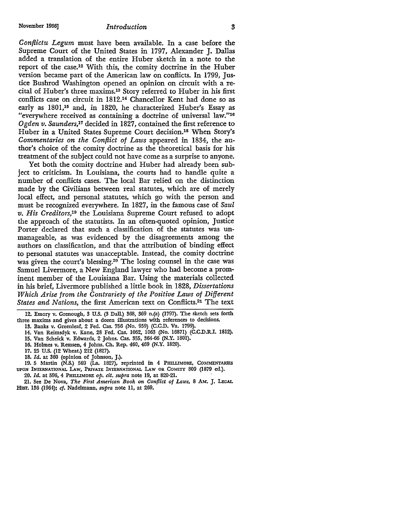November 1966] *Introduction* 3

*Confiictu Legum* must have been available. In a case before the Supreme Court of the United States in 1797, Alexander J. Dallas added a translation of the entire Huber sketch in a note to the report of the case.12 With this, the comity doctrine in the Huber version became part of the American law on conflicts. In 1799, Justice Bushrod Washington opened an opinion on circuit with a recital of Huber's three maxims.13 Story referred to Huber in his first conflicts case on circuit in 1812.14 Chancellor Kent had done so as early as 1801,15 and, in 1820, he characterized Huber's Essay as "everywhere received as containing a doctrine of universal law."16 *Ogden v. Saunders,11* decided in 1827, contained the first reference to Huber in a United States Supreme Court decision.18 When Story's *Commentaries on the Conflict of Laws* appeared in 1834, the author's choice of the comity doctrine as the theoretical basis for his treatment of the subject could not have come as a surprise to anyone.

Yet both the comity doctrine and Huber had already been subject to criticism. In Louisiana, the courts had to handle quite a number of conflicts cases. The local Bar relied on the distinction made by the Civilians between real statutes, which are of merely Jocal effect, and personal statutes, which go with the person and must be recognized everywhere. In 1827, in the famous case of *Saul v. His Creditors,19* the Louisiana Supreme Court refused to adopt the approach of the statutists. In an often-quoted opinion, Justice Porter declared that such a classification of the statutes was unmanageable, as was evidenced by the disagreements among the authors on classification, and that the attribution of binding effect to personal statutes was unacceptable. Instead, the comity doctrine was given the court's blessing.<sup>20</sup> The losing counsel in the case was Samuel Livermore, a New England lawyer who had become a prominent member of the Louisiana Bar. Using the materials collected in his brief, Livermore published a little book in 1828, *Dissertations Which Arise from the Contrariety of the Positive Laws of Different*  States and Nations, the first American text on Conflicts.<sup>21</sup> The text

- 14. Van Reimsdyk v. Kane, 28 Fed. Cas. 1062, 1063 (No. 16871) (C.C.D.R.I. 1812).
- 15. Van Scheick v. Edwards, 2 Johns. Cas. 355, 364-66 (N.Y. 1801).
- 16. Holmes v. Remsen, 4 Johns. Ch. Rep. 460, 469 (N.Y. 1820).
- 17. 25 U.S. (12 Wheat.) 212 (1827).
- 18. *Id.* at 360 (opinion of Johnson, J.).

19. 5 Martin (N.S.) 569 (La. 1827), reprinted in 4 PHILLIMORE, COMMENTARIES UPON INTERNATIONAL LAW, PRIVATE INTERNATIONAL LAw OR. COMITY 809 (1879 ed.).

20. *Id.* at 596, 4 PHILLIMORE *op. cit. supra* note 19, at 820-21. ·

21, See De Nova, *The First American Book on Conflict of Laws,* 8 AM. J. LEGAL HlsT. 136 (1964); *cf,* Nadelmann, *supra* note 11, at 269,

<sup>12.</sup> Emory v. Grenough, 3 U.S. (3 Dall.) 368, 369 n.(a) (1797). The sketch sets forth three maxims and gives about a dozen illustrations with references to decisions,

**<sup>13.</sup>** Banks v. Greenleaf, 2 Fed. Cas. 756 (No. 959) (C.C.D. Va. 1799).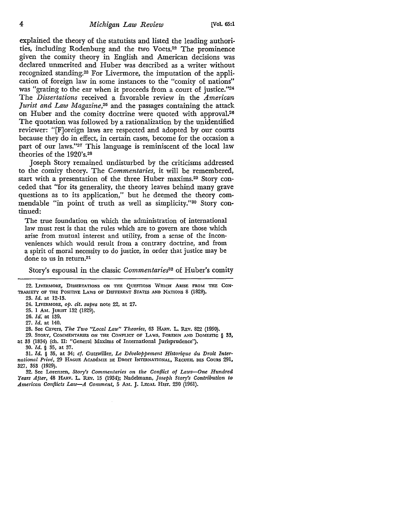explained the theory of the statutists and listed the leading authorities, including Rodenburg and the two Voets.22 The prominence given the comity theory in English and American decisions was declared unmerited and Huber was described as a writer without recognized standing.23 For Livermore, the imputation of the application of foreign law in some instances to the "comity of nations" was "grating to the ear when it proceeds from a court of justice."<sup>24</sup> The *Dissertations* received a favorable review in the *American Jurist and Law Magazine,25* and the passages containing the attack on Huber and the comity doctrine were quoted with approval.26 The quotation was followed by a rationalization by the unidentified reviewer: "[F]oreign laws are respected and adopted by our courts because they do in effect, in certain cases, become for the occasion a part of our laws."<sup>27</sup> This language is reminiscent of the local law theories of the 1920's.28

Joseph Story remained undisturbed by the criticisms addressed to the comity theory. The *Commentaries,* it will be remembered, start with a presentation of the three Huber maxims.29 Story conceded that "for its generality, the theory leaves behind many grave questions as to its application," but he deemed the theory commendable "in point of truth as well as simplicity."30 Story continued:

The true foundation on which the administration of international law must rest is that the rules which are to govern are those which arise from mutual interest and utility, from a sense of the inconveniences which would result from a contrary doctrine, and from a spirit of moral necessity to do justice, in order that justice may be done to us in return.<sup>31</sup>

Story's espousal in the classic *Commentaries3*2 of Huber's comity

- 24. LIVERMORE, *op. cit. supra* note 22, at 27.
- 25. 1 AM. JURIST 132 (1829).
- 26. *Id:* at 139.
- 27. *Id.* at 140.

28. See Cavers, *The Two "Local Law" Theories,* 63 HARv. L. REv. 822 (1950).

29, STORY, COMMENTARIES ON THE CONFLICT OF LAWS, FOREIGN AND DOMESTIC § **33,**  at 33 (1834) (ch. II: "General Maxims of International Jurisprudence').

30. *Id.* § 35, at 37.

31. *Id.* § 35, at 34; *cf.* Gutzwiller, *Le Developpement Historique du Droit Inter*national Privé, 29 HAGUE ACADÉMIE DE DROIT INTERNATIONAL, RECUELL DES COURS 291, 327, 353 (1929).

32. See Lorenzen, *Story's Commentaries on the Conflict of Laws-One Hundred Years After,* 48 HARV. L. REv. 15 (1934); Nadelmann, *Joseph Story's Contribution to American Conflicts Law-A Comment,* 5 AM. J. LEGAL HIST. 230 (1961).

<sup>22.</sup> LIVERMORE, DISSERTATIONS ON THE QUESTIONS WHICH ARISE FROM THE CON· TRARIETY OF THE POSITIVE LAWS OF DIFFERENT STATES AND NATIONS 8 (1828),

<sup>23.</sup> *Id.* at 12-13.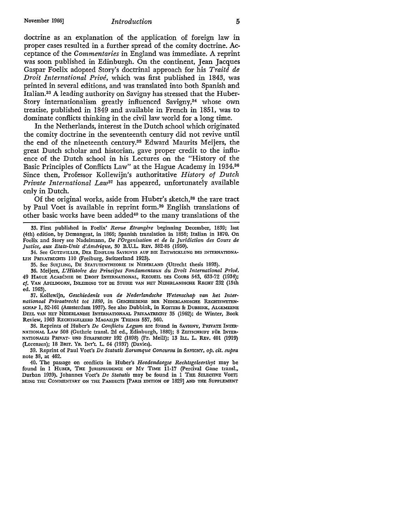doctrine as an explanation of the application of foreign law in proper cases resulted in a further spread of the comity doctrine. Acceptance of the *Commentaries* in England was immediate. A reprint was soon published in Edinburgh. On the continent, Jean Jacques Gaspar Foelix adopted Story's doctrinal approach for his *Traite de Droit International Prive,* which was first published in 1843, was printed in several editions, and was translated into both Spanish and Italian.33 A leading authority on Savigny has stressed that the Huber-Story internationalism greatly influenced Savigny,<sup>34</sup> whose own treatise, published in 1849 and available in French in 1851, was to dominate conflicts thinking in the civil law world for a long time.

In the Netherlands, interest in the Dutch school which originated the comity doctrine in the seventeenth century did not revive until the end of the nineteenth century.35 Edward Maurits Meijers, the great Dutch scholar and historian, gave proper credit to the influence of the Dutch school in his Lectures on the "History of the Basic Principles of Conflicts Law" at the Hague Academy in 1934.36 Since then, Professor Kollewijn's authoritative *History of Dutch Private International Law*37 has appeared, unfortunately available only in Dutch.

Of the original works, aside from Huber's sketch,<sup>38</sup> the rare tract by Paul Voet is available in reprint form.39 English translations of other basic works have been added40 to the many translations of the

34. See GUTZWILLER, DER EINFLUSS SAVIGNYS AUF DIE ENTWICKLUNG DES lNTERNATIONA-LEN PRIVATRECHTS llO (Freiburg, Switzerland 1923).

35. See SUIJLING, DE STATUTENTHEORIE IN NEDERLAND (Utrecht thesis 1893).

36. Meijers, *L'Histoire des Principes Fondamentaux du Droit International Prive,*  49 HAGUE ACADÉMIE DE DROIT INTERNATIONAL, RECUEIL DES COURS 543, 633-72 (1934); cf. VAN APELDOORN', INLEIDING TOT DE STUDIE VAN HET NEDERLANDSCHE RECHT 232 (15th ed. 1963).

37. Kollewijn, *Geschiedenis van de Nederlandsche Wetenschap van het Internationaal Privaatrecht tot 1880,* in GESCHIEDENIS DER NEDERLANDSCHE R.ECHTSWETEN· SCHAP 1, 52-161 (Amsterdam 1937). See also Dubbink, in KOSTERS & DUBBINK, ALGEMEENE DEEL VAN HET NEDERLANDSE INTERNATIONAAL PRIVAATRECHT 35 (1962); de Winter, Book Review, 1963 RECHTSGELEERD MAGAZIJN THEMIS 557, 560.

38. Reprints of Huber's *De Conflictu Legum* are found in SAVIGNY, PRIVATE INTER· NATIONAL LAW 508 (Guthrie transl. 2d ed., Edinburgh, 1880); 8 ZEITSCHRIFT FÜR INTER-NATIONALES PRIVAT- UND STRAFRECHT 192 (1898) (Fr. Meili); 13 ILL. L. REV. 401 (1919) (Lorenzen); 18 BRIT. YB. INT'L L. 64 (1937) (Davies).

39. Reprint of Paul Voet's *De Statutis Eorumque Concursu* in SAVIGNY, *op. cit. supra*  note 38, at 462.

40. The passage on conflicts in Huber's *Heedendaegse Rechtsgeleerthyt* may be found in 1 HUBER, THE JURISPRUDENCE OF MY TIME 11-17 (Percival Gane transl., Durban 1939). Johannes Voet's *De Statutis* may be found in 1 THE SELECTIVE VOET; BEING THE COMMENTARY ON THE PANDECTS [PARIS EDITION OF 1829] AND THE SUPPLEMENT

<sup>33.</sup> First published in Foelix' *Revue Etrangere* beginning December, 1839; last (4th) edition, by Demangeat, in 1866; Spanish translation in 1858; Italian in 1870. On Foeli.x and Story see Nadelmann, *De l'Organisation et de la ]uridiction des Cours de*  Justice, aux Etats-Unis d'Amérique, 30 B.U.L. REV. 382-85 (1950).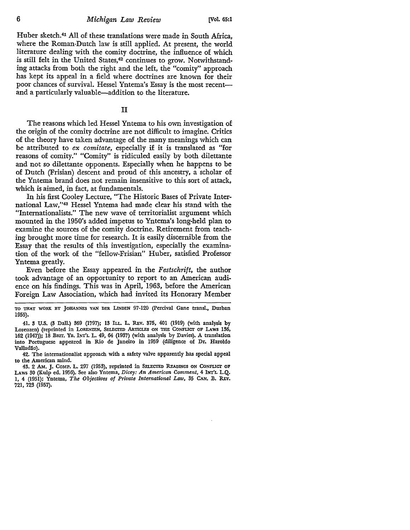6 *Michigan Law Review* [Vol. 65:1

Huber sketch.41 All of these translations were made in South Africa, where the Roman-Dutch law is still applied. At present, the world literature dealing with the comity doctrine, the influence of which is still felt in the United States,<sup>42</sup> continues to grow. Notwithstanding attacks from both the right and the left, the "comity" approach has kept its appeal in a field where doctrines are known for their poor chances of survival. Hessel Yntema's Essay is the most recentand a particularly valuable—addition to the literature.

II

The reasons which led Hessel Yntema to his own investigation of the origin of the comity doctrine are not difficult to imagine. Critics of the theory have taken advantage of the many meanings which can be attributed to *ex comitate,* especially if it is translated as "for reasons of comity." "Comity" is ridiculed easily by both dilettante and not so dilettante opponents. Especially when he happens to be of Dutch (Frisian) descent and proud of this ancestry, a scholar of the Yntema brand does not remain insensitive to this sort of attack, which is aimed, in fact, at fundamentals.

In his first Cooley Lecture, "The Historic Bases of Private International Law,"43 Hessel Yntema had made clear his stand with the "Internationalists." The new wave of territorialist argument which mounted in the 1950's added impetus to Yntema's long-held plan to examine the sources of the comity doctrine. Retirement from teaching brought more time for research. It is easily discernible from the Essay that the results of this investigation, especially the examination of the work of the "fellow-Frisian" Huber, satisfied Professor Yntema greatly.

Even before the Essay appeared in the *Festschrift,* the author took advantage of an opportunity to report to an American audience on his findings. This was in April, 1963, before the American Foreign Law Association, which had invited its Honorary Member

TO THAT WORK BY JOHANNES VAN DER LINDEN 97-120 (Percival Gane transl., Durban 1955).

<sup>41. 3</sup> U.S. (3 Dall.) 369 (1797); 13 ILL. L. REv. 375, 401 (1919) (with analysis by Lorenzen) (reprinted in LORENZEN, SELECTED ARTICLES ON THE CONFLICT OF LAWS 136, 162 (1947)}; 18 BRIT. YB. lNT'L L. 49, 64 (1937) (with analysis by Davies). A translation into Portuguese appeared in Rio de Janeiro in 1959 (diligence of Dr. Haroldo Valladão).

<sup>42.</sup> The internationalist approach with a safety valve apparently has special appeal to the American mind.

<sup>43. 2</sup> AM. J. COMP. L. 297 (1953), reprinted in SELECTED READINGS ON CONFLICT OF LAWS 30 (Kulp ed. 1956). See also Yntema, *Dicey: An American Comment*, 4 INT'L L.Q. 1, 4 (1951); Yntema, *The Objectives of Private International Law,* 35 CAN, B. R.Ev. 721, 723 (1957).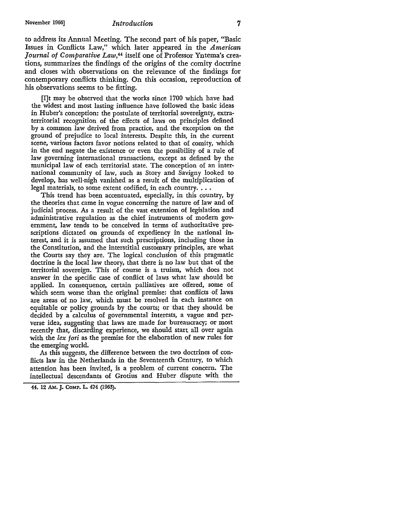### November 1966] *Introduction* 7

to address its Annual Meeting. The second part of his paper, "Basic Issues in Conflicts Law," which later appeared in the *American Journal of Comparative Law,*44 itself one of Professor Yntema's creations, summarizes the findings of the origins of the comity doctrine and closes with observations on the relevance of the findings for contemporary conflicts thinking. On this occasion, reproduction of his observations seems to be fitting.

[I]t may be observed that the works since 1700 which have had the widest and most lasting influence have followed the basic ideas in Huber's conception: the postulate of territorial sovereignty, extraterritorial recognition of the effects of laws on principles defined by a common law derived from practice, and the exception on the ground of prejudice to local interests. Despite this, in the current scene, various factors favor notions related to that of comity, which in the end negate the existence or even the possibility of a rule of law governing international transactions, except as defined by the municipal law of each territorial state. The conception of an international community of law, such as Story and Savigny looked to develop, has well-nigh vanished as a result of the multiplication of legal materials, to some extent codified, in each country.  $\ldots$ 

This trend has been accentuated, especially, in this country, by the theories that came in vogue concerning the nature of law and of judicial process. As a result of the vast extension of legislation and administrative regulation as the chief instruments of modern government, law tends to be conceived in terms of authoritative prescriptions dictated on grounds of expediency in the national interest, and it is assumed that such prescriptions, including those in the Constitution, and the interstitial customary principles, are what the Courts say they are. The logical conclusion of this pragmatic doctrine is the local law theory, that there is no law but that of the territorial sovereign. This of course is a truism, which does not answer in the specific case of conflict of laws what law should be applied. In consequence, certain palliatives are offered, some of which seem worse than the original premise: that conflicts of laws are areas of no law, which must be resolved in each instance on equitable or policy grounds by the courts; or that they should be decided by a calculus of governmental interests, a vague and perverse idea, suggesting that laws are made for bureaucracy; or most recently that, discarding experience, we should start all over again with the *lex fori* as the premise for the elaboration of new rules for the emerging world.

As this suggests, the difference between the two doctrines of conflicts law in the Netherlands in the Seventeenth Century, to which attention has been invited, is a problem of current concern. The intellectual descendants of Grotius and Huber dispute with the

<sup>44. 12</sup> AM. J. COMP. L. 474 (1963).